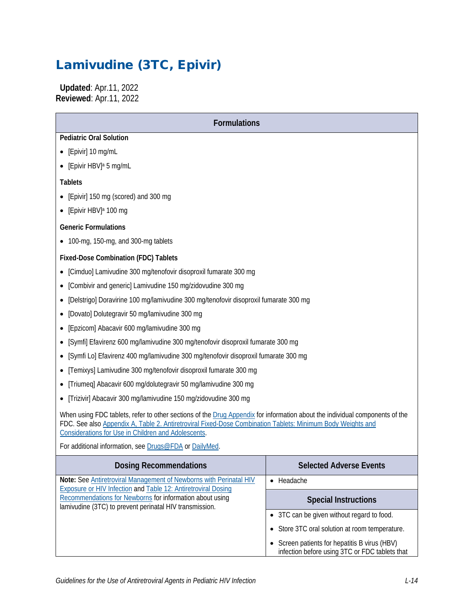# Lamivudine (3TC, Epivir)

 **Updated**: Apr.11, 2022 **Reviewed**: Apr.11, 2022

| <b>Formulations</b>                                                                                                                                                                                                                                                                                                                                        |                                                |  |  |  |
|------------------------------------------------------------------------------------------------------------------------------------------------------------------------------------------------------------------------------------------------------------------------------------------------------------------------------------------------------------|------------------------------------------------|--|--|--|
| <b>Pediatric Oral Solution</b>                                                                                                                                                                                                                                                                                                                             |                                                |  |  |  |
| [Epivir] 10 mg/mL                                                                                                                                                                                                                                                                                                                                          |                                                |  |  |  |
| • [Epivir HBV] <sup>a</sup> 5 mg/mL                                                                                                                                                                                                                                                                                                                        |                                                |  |  |  |
| <b>Tablets</b>                                                                                                                                                                                                                                                                                                                                             |                                                |  |  |  |
| [Epivir] 150 mg (scored) and 300 mg                                                                                                                                                                                                                                                                                                                        |                                                |  |  |  |
| [Epivir HBV] <sup>a</sup> 100 mg                                                                                                                                                                                                                                                                                                                           |                                                |  |  |  |
| <b>Generic Formulations</b>                                                                                                                                                                                                                                                                                                                                |                                                |  |  |  |
| • 100-mg, 150-mg, and 300-mg tablets                                                                                                                                                                                                                                                                                                                       |                                                |  |  |  |
| <b>Fixed-Dose Combination (FDC) Tablets</b>                                                                                                                                                                                                                                                                                                                |                                                |  |  |  |
| [Cimduo] Lamivudine 300 mg/tenofovir disoproxil fumarate 300 mg                                                                                                                                                                                                                                                                                            |                                                |  |  |  |
| [Combivir and generic] Lamivudine 150 mg/zidovudine 300 mg                                                                                                                                                                                                                                                                                                 |                                                |  |  |  |
| [Delstrigo] Doravirine 100 mg/lamivudine 300 mg/tenofovir disoproxil fumarate 300 mg                                                                                                                                                                                                                                                                       |                                                |  |  |  |
| [Dovato] Dolutegravir 50 mg/lamivudine 300 mg                                                                                                                                                                                                                                                                                                              |                                                |  |  |  |
| [Epzicom] Abacavir 600 mg/lamivudine 300 mg                                                                                                                                                                                                                                                                                                                |                                                |  |  |  |
| [Symfi] Efavirenz 600 mg/lamivudine 300 mg/tenofovir disoproxil fumarate 300 mg                                                                                                                                                                                                                                                                            |                                                |  |  |  |
| [Symfi Lo] Efavirenz 400 mg/lamivudine 300 mg/tenofovir disoproxil fumarate 300 mg                                                                                                                                                                                                                                                                         |                                                |  |  |  |
| [Temixys] Lamivudine 300 mg/tenofovir disoproxil fumarate 300 mg                                                                                                                                                                                                                                                                                           |                                                |  |  |  |
| [Triumeq] Abacavir 600 mg/dolutegravir 50 mg/lamivudine 300 mg                                                                                                                                                                                                                                                                                             |                                                |  |  |  |
| [Trizivir] Abacavir 300 mg/lamivudine 150 mg/zidovudine 300 mg                                                                                                                                                                                                                                                                                             |                                                |  |  |  |
| When using FDC tablets, refer to other sections of the Drug Appendix for information about the individual components of the<br>FDC. See also Appendix A, Table 2. Antiretroviral Fixed-Dose Combination Tablets: Minimum Body Weights and<br>Considerations for Use in Children and Adolescents.<br>For additional information, see Drugs@FDA or DailyMed. |                                                |  |  |  |
|                                                                                                                                                                                                                                                                                                                                                            |                                                |  |  |  |
| <b>Dosing Recommendations</b>                                                                                                                                                                                                                                                                                                                              | <b>Selected Adverse Events</b>                 |  |  |  |
| Note: See Antiretroviral Management of Newborns with Perinatal HIV<br><b>Exposure or HIV Infection and Table 12: Antiretroviral Dosing</b><br>Recommendations for Newborns for information about using<br>lamivudine (3TC) to prevent perinatal HIV transmission.                                                                                          | • Headache                                     |  |  |  |
|                                                                                                                                                                                                                                                                                                                                                            | <b>Special Instructions</b>                    |  |  |  |
|                                                                                                                                                                                                                                                                                                                                                            | • 3TC can be given without regard to food.     |  |  |  |
|                                                                                                                                                                                                                                                                                                                                                            | • Store 3TC oral solution at room temperature. |  |  |  |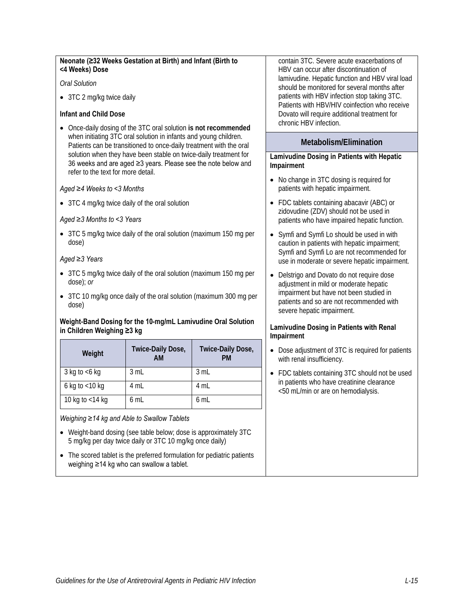#### **Neonate (≥32 Weeks Gestation at Birth) and Infant (Birth to <4 Weeks) Dose**

#### *Oral Solution*

• 3TC 2 mg/kg twice daily

#### **Infant and Child Dose**

• Once-daily dosing of the 3TC oral solution **is not recommended** when initiating 3TC oral solution in infants and young children. Patients can be transitioned to once-daily treatment with the oral solution when they have been stable on twice-daily treatment for 36 weeks and are aged ≥3 years. Please see the note below and refer to the text for more detail.

#### *Aged ≥4 Weeks to <3 Months*

• 3TC 4 mg/kg twice daily of the oral solution

#### *Aged ≥3 Months to <3 Years*

• 3TC 5 mg/kg twice daily of the oral solution (maximum 150 mg per dose)

#### *Aged ≥3 Years*

- 3TC 5 mg/kg twice daily of the oral solution (maximum 150 mg per dose); *or*
- 3TC 10 mg/kg once daily of the oral solution (maximum 300 mg per dose)

#### **Weight-Band Dosing for the 10-mg/mL Lamivudine Oral Solution in Children Weighing ≥3 kg**

| Weight            | Twice-Daily Dose,<br>АM | Twice-Daily Dose,<br><b>PM</b> |
|-------------------|-------------------------|--------------------------------|
| 3 kg to $<$ 6 kg  | 3 mL                    | 3 mL                           |
| 6 kg to $<$ 10 kg | 4 mL                    | 4 mL                           |
| 10 kg to <14 kg   | 6 mL                    | 6 mL                           |

*Weighing ≥14 kg and Able to Swallow Tablets*

- Weight-band dosing (see table below; dose is approximately 3TC 5 mg/kg per day twice daily or 3TC 10 mg/kg once daily)
- The scored tablet is the preferred formulation for pediatric patients weighing ≥14 kg who can swallow a tablet.

contain 3TC. Severe acute exacerbations of HBV can occur after discontinuation of lamivudine. Hepatic function and HBV viral load should be monitored for several months after patients with HBV infection stop taking 3TC. Patients with HBV/HIV coinfection who receive Dovato will require additional treatment for chronic HBV infection.

#### **Metabolism/Elimination**

#### **Lamivudine Dosing in Patients with Hepatic Impairment**

- No change in 3TC dosing is required for patients with hepatic impairment.
- FDC tablets containing abacavir (ABC) or zidovudine (ZDV) should not be used in patients who have impaired hepatic function.
- Symfi and Symfi Lo should be used in with caution in patients with hepatic impairment; Symfi and Symfi Lo are not recommended for use in moderate or severe hepatic impairment.
- Delstrigo and Dovato do not require dose adjustment in mild or moderate hepatic impairment but have not been studied in patients and so are not recommended with severe hepatic impairment.

#### **Lamivudine Dosing in Patients with Renal Impairment**

- Dose adjustment of 3TC is required for patients with renal insufficiency.
- FDC tablets containing 3TC should not be used in patients who have creatinine clearance <50 mL/min or are on hemodialysis.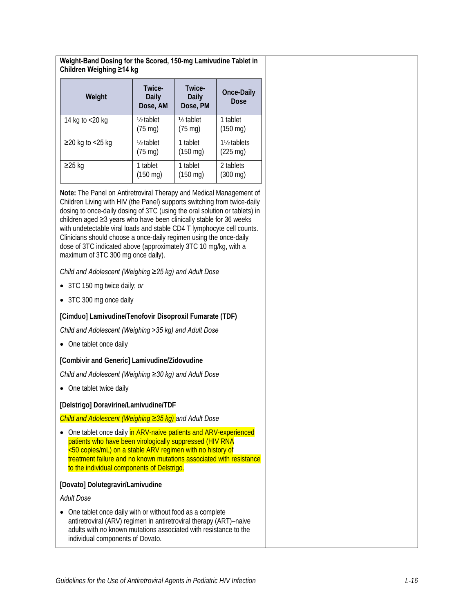**Weight-Band Dosing for the Scored, 150-mg Lamivudine Tablet in Children Weighing ≥14 kg**

| Weight             | Twice-<br>Daily<br>Dose, AM | Twice-<br>Daily<br>Dose, PM | <b>Once-Daily</b><br>Dose             |
|--------------------|-----------------------------|-----------------------------|---------------------------------------|
| 14 kg to <20 kg    | 1/ <sub>2</sub> tablet      | 1/ <sub>2</sub> tablet      | 1 tablet                              |
|                    | $(75 \text{ mg})$           | $(75 \text{ mg})$           | $(150 \text{ mg})$                    |
| $≥20$ kg to <25 kg | $\frac{1}{2}$ tablet        | 1 tablet                    | 1 <sup>1</sup> / <sub>2</sub> tablets |
|                    | $(75 \text{ mg})$           | $(150 \text{ mg})$          | $(225 \text{ mg})$                    |
| ≥25 kg             | 1 tablet                    | 1 tablet                    | 2 tablets                             |
|                    | $(150 \text{ mg})$          | $(150 \text{ mg})$          | $(300 \text{ mg})$                    |

**Note:** The Panel on Antiretroviral Therapy and Medical Management of Children Living with HIV (the Panel) supports switching from twice-daily dosing to once-daily dosing of 3TC (using the oral solution or tablets) in children aged ≥3 years who have been clinically stable for 36 weeks with undetectable viral loads and stable CD4 T lymphocyte cell counts. Clinicians should choose a once-daily regimen using the once-daily dose of 3TC indicated above (approximately 3TC 10 mg/kg, with a maximum of 3TC 300 mg once daily).

*Child and Adolescent (Weighing ≥25 kg) and Adult Dose*

- 3TC 150 mg twice daily; *or*
- 3TC 300 mg once daily

#### **[Cimduo] Lamivudine/Tenofovir Disoproxil Fumarate (TDF)**

*Child and Adolescent (Weighing >35 kg) and Adult Dose*

• One tablet once daily

#### **[Combivir and Generic] Lamivudine/Zidovudine**

*Child and Adolescent (Weighing ≥30 kg) and Adult Dose*

• One tablet twice daily

**[Delstrigo] Doravirine/Lamivudine/TDF**

*Child and Adolescent (Weighing ≥35 kg) and Adult Dose*

• One tablet once daily in ARV-naive patients and ARV-experienced patients who have been virologically suppressed (HIV RNA <50 copies/mL) on a stable ARV regimen with no history of treatment failure and no known mutations associated with resistance to the individual components of Delstrigo.

#### **[Dovato] Dolutegravir/Lamivudine**

*Adult Dose*

• One tablet once daily with or without food as a complete antiretroviral (ARV) regimen in antiretroviral therapy (ART)–naive adults with no known mutations associated with resistance to the individual components of Dovato.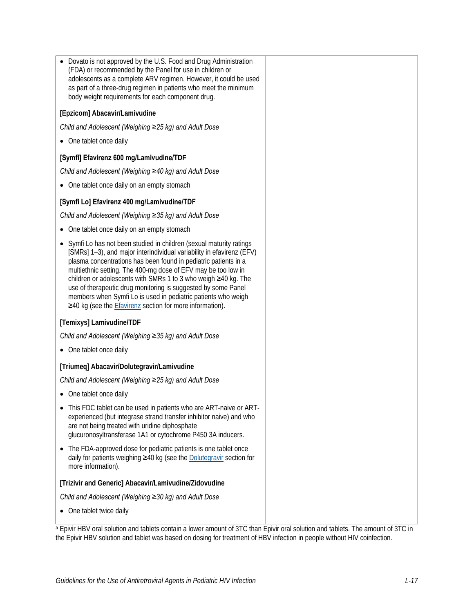• Dovato is not approved by the U.S. Food and Drug Administration (FDA) or recommended by the Panel for use in children or adolescents as a complete ARV regimen. However, it could be used as part of a three-drug regimen in patients who meet the minimum body weight requirements for each component drug.

#### **[Epzicom] Abacavir/Lamivudine**

*Child and Adolescent (Weighing ≥25 kg) and Adult Dose*

• One tablet once daily

#### **[Symfi] Efavirenz 600 mg/Lamivudine/TDF**

*Child and Adolescent (Weighing ≥40 kg) and Adult Dose*

• One tablet once daily on an empty stomach

#### **[Symfi Lo] Efavirenz 400 mg/Lamivudine/TDF**

*Child and Adolescent (Weighing ≥35 kg) and Adult Dose*

- One tablet once daily on an empty stomach
- Symfi Lo has not been studied in children (sexual maturity ratings [SMRs] 1–3), and major interindividual variability in efavirenz (EFV) plasma concentrations has been found in pediatric patients in a multiethnic setting. The 400-mg dose of EFV may be too low in children or adolescents with SMRs 1 to 3 who weigh ≥40 kg. The use of therapeutic drug monitoring is suggested by some Panel members when Symfi Lo is used in pediatric patients who weigh ≥40 kg (see the [Efavirenz](https://clinicalinfo.hiv.gov/en/guidelines/pediatric-arv/efavirenz) section for more information).

#### **[Temixys] Lamivudine/TDF**

*Child and Adolescent (Weighing ≥35 kg) and Adult Dose*

• One tablet once daily

#### **[Triumeq] Abacavir/Dolutegravir/Lamivudine**

*Child and Adolescent (Weighing ≥25 kg) and Adult Dose*

- One tablet once daily
- This FDC tablet can be used in patients who are ART-naive or ARTexperienced (but integrase strand transfer inhibitor naive) and who are not being treated with uridine diphosphate glucuronosyltransferase 1A1 or cytochrome P450 3A inducers.
- The FDA-approved dose for pediatric patients is one tablet once daily for patients weighing ≥40 kg (see th[e Dolutegravir](https://aidsinfo.nih.gov/guidelines/html/2/pediatric-arv/435/dolutegravir) section for more information).

#### **[Trizivir and Generic] Abacavir/Lamivudine/Zidovudine**

*Child and Adolescent (Weighing ≥30 kg) and Adult Dose*

• One tablet twice daily

a Epivir HBV oral solution and tablets contain a lower amount of 3TC than Epivir oral solution and tablets. The amount of 3TC in the Epivir HBV solution and tablet was based on dosing for treatment of HBV infection in people without HIV coinfection.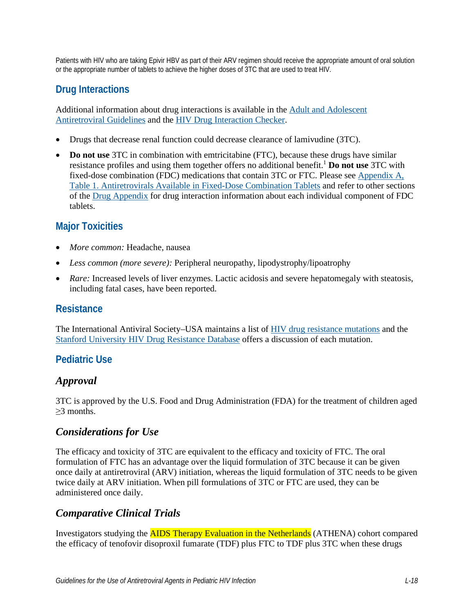Patients with HIV who are taking Epivir HBV as part of their ARV regimen should receive the appropriate amount of oral solution or the appropriate number of tablets to achieve the higher doses of 3TC that are used to treat HIV.

# **Drug Interactions**

Additional information about drug interactions is available in the [Adult and Adolescent](https://clinicalinfo.hiv.gov/en/guidelines/adult-and-adolescent-arv/whats-new-guidelines)  [Antiretroviral Guidelines](https://clinicalinfo.hiv.gov/en/guidelines/adult-and-adolescent-arv/whats-new-guidelines) and the [HIV Drug Interaction Checker.](http://www.hiv-druginteractions.org/)

- Drugs that decrease renal function could decrease clearance of lamivudine (3TC).
- **Do not use** 3TC in combination with emtricitabine (FTC), because these drugs have similar resistance profiles and using them together offers no additional benefit[.1](#page-8-0) **Do not use** 3TC with fixed-dose combination (FDC) medications that contain 3TC or FTC. Please see [Appendix A,](https://clinicalinfo.hiv.gov/en/guidelines/pediatric-arv/appendix-table-1-antiretrovirals-available-fixed-dose-combination-tablets?view=full)  [Table 1. Antiretrovirals Available in Fixed-Dose Combination Tablets](https://clinicalinfo.hiv.gov/en/guidelines/pediatric-arv/appendix-table-1-antiretrovirals-available-fixed-dose-combination-tablets?view=full) and refer to other sections of the [Drug Appendix](https://clinicalinfo.hiv.gov/en/guidelines/pediatric-arv/overview-0) for drug interaction information about each individual component of FDC tablets.

# **Major Toxicities**

- *More common:* Headache, nausea
- *Less common (more severe):* Peripheral neuropathy, lipodystrophy/lipoatrophy
- *Rare:* Increased levels of liver enzymes. Lactic acidosis and severe hepatomegaly with steatosis, including fatal cases, have been reported.

### **Resistance**

The International Antiviral Society–USA maintains a list of [HIV drug resistance mutations](https://www.iasusa.org/resources/hiv-drug-resistance-mutations/) and the [Stanford University HIV Drug Resistance Database](http://hivdb.stanford.edu/DR/) offers a discussion of each mutation.

# **Pediatric Use**

# *Approval*

3TC is approved by the U.S. Food and Drug Administration (FDA) for the treatment of children aged ≥3 months.

# *Considerations for Use*

The efficacy and toxicity of 3TC are equivalent to the efficacy and toxicity of FTC. The oral formulation of FTC has an advantage over the liquid formulation of 3TC because it can be given once daily at antiretroviral (ARV) initiation, whereas the liquid formulation of 3TC needs to be given twice daily at ARV initiation. When pill formulations of 3TC or FTC are used, they can be administered once daily.

### *Comparative Clinical Trials*

Investigators studying the AIDS Therapy Evaluation in the Netherlands (ATHENA) cohort compared the efficacy of tenofovir disoproxil fumarate (TDF) plus FTC to TDF plus 3TC when these drugs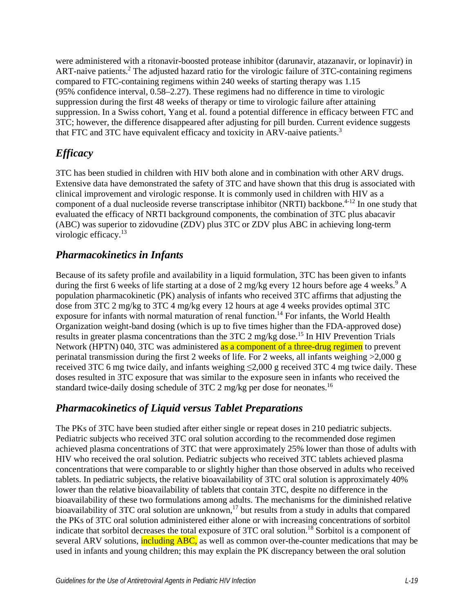were administered with a ritonavir-boosted protease inhibitor (darunavir, atazanavir, or lopinavir) in ART-naive patients.<sup>2</sup> The adjusted hazard ratio for the virologic failure of  $3TC$ -containing regimens compared to FTC-containing regimens within 240 weeks of starting therapy was 1.15 (95% confidence interval, 0.58–2.27). These regimens had no difference in time to virologic suppression during the first 48 weeks of therapy or time to virologic failure after attaining suppression. In a Swiss cohort, Yang et al. found a potential difference in efficacy between FTC and 3TC; however, the difference disappeared after adjusting for pill burden. Current evidence suggests that FTC and  $3TC$  have equivalent efficacy and toxicity in ARV-naive patients.<sup>3</sup>

# *Efficacy*

3TC has been studied in children with HIV both alone and in combination with other ARV drugs. Extensive data have demonstrated the safety of 3TC and have shown that this drug is associated with clinical improvement and virologic response. It is commonly used in children with HIV as a component of a dual nucleoside reverse transcriptase inhibitor (NRTI) backbone.<sup>4-12</sup> In one study that evaluated the efficacy of NRTI background components, the combination of 3TC plus abacavir (ABC) was superior to zidovudine (ZDV) plus 3TC or ZDV plus ABC in achieving long-term virologic efficacy.<sup>[13](#page-9-0)</sup>

# *Pharmacokinetics in Infants*

Because of its safety profile and availability in a liquid formulation, 3TC has been given to infants during the first 6 weeks of life starting at a dose of 2 mg/kg every 12 hours before age 4 weeks[.](#page-8-4)<sup>9</sup> A population pharmacokinetic (PK) analysis of infants who received 3TC affirms that adjusting the dose from 3TC 2 mg/kg to 3TC 4 mg/kg every 12 hours at age 4 weeks provides optimal 3TC exposure for infants with normal maturation of renal function.<sup>14</sup> For infants, the World Health Organization weight-band dosing (which is up to five times higher than the FDA-approved dose) results in greater plasma concentrations than the 3TC 2 mg/kg dose.<sup>15</sup> In HIV Prevention Trials Network (HPTN) 040, 3TC was administered as a component of a three-drug regimen to prevent perinatal transmission during the first 2 weeks of life. For 2 weeks, all infants weighing  $>2,000 \text{ g}$ received 3TC 6 mg twice daily, and infants weighing ≤2,000 g received 3TC 4 mg twice daily. These doses resulted in 3TC exposure that was similar to the exposure seen in infants who received the standard twice-daily dosing schedule of 3TC 2 mg/kg per dose for neonates.<sup>16</sup>

# *Pharmacokinetics of Liquid versus Tablet Preparations*

The PKs of 3TC have been studied after either single or repeat doses in 210 pediatric subjects. Pediatric subjects who received 3TC oral solution according to the recommended dose regimen achieved plasma concentrations of 3TC that were approximately 25% lower than those of adults with HIV who received the oral solution. Pediatric subjects who received 3TC tablets achieved plasma concentrations that were comparable to or slightly higher than those observed in adults who received tablets. In pediatric subjects, the relative bioavailability of 3TC oral solution is approximately 40% lower than the relative bioavailability of tablets that contain 3TC, despite no difference in the bioavailability of these two formulations among adults. The mechanisms for the diminished relative bioavailability of 3TC oral solution are unknown,<sup>17</sup> but results from a study in adults that compared the PKs of 3TC oral solution administered either alone or with increasing concentrations of sorbitol indicate that sorbitol decreases the total exposure of 3TC oral solution.<sup>18</sup> Sorbitol is a component of several ARV solutions, including ABC, as well as common over-the-counter medications that may be used in infants and young children; this may explain the PK discrepancy between the oral solution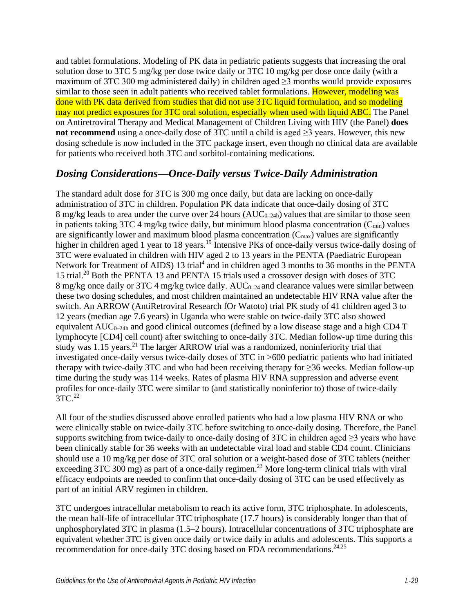and tablet formulations. Modeling of PK data in pediatric patients suggests that increasing the oral solution dose to 3TC 5 mg/kg per dose twice daily or 3TC 10 mg/kg per dose once daily (with a maximum of 3TC 300 mg administered daily) in children aged ≥3 months would provide exposures similar to those seen in adult patients who received tablet formulations. However, modeling was done with PK data derived from studies that did not use 3TC liquid formulation, and so modeling may not predict exposures for 3TC oral solution, especially when used with liquid ABC. The Panel on Antiretroviral Therapy and Medical Management of Children Living with HIV (the Panel) **does not recommend** using a once-daily dose of 3TC until a child is aged >3 years. However, this new dosing schedule is now included in the 3TC package insert, even though no clinical data are available for patients who received both 3TC and sorbitol-containing medications.

### *Dosing Considerations—Once-Daily versus Twice-Daily Administration*

The standard adult dose for 3TC is 300 mg once daily, but data are lacking on once-daily administration of 3TC in children. Population PK data indicate that once-daily dosing of 3TC 8 mg/kg leads to area under the curve over 24 hours (AUC<sub>0–24h</sub>) values that are similar to those seen in patients taking 3TC 4 mg/kg twice daily, but minimum blood plasma concentration  $(C_{min})$  values are significantly lower and maximum blood plasma concentration  $(C_{\text{max}})$  values are significantly higher in children aged 1 year to 18 years.<sup>19</sup> Intensive PKs of once-daily versus twice-daily dosing of 3TC were evaluated in children with HIV aged 2 to 13 years in the PENTA (Paediatric European Network for Treatment of AIDS) 13 trial<sup>4</sup> and in children aged 3 months to 36 months in the PENTA 15 trial[.20](#page-9-7) Both the PENTA 13 and PENTA 15 trials used a crossover design with doses of 3TC 8 mg/kg once daily or 3TC 4 mg/kg twice daily. AUC<sub>0-24</sub> and clearance values were similar between these two dosing schedules, and most children maintained an undetectable HIV RNA value after the switch. An ARROW (AntiRetroviral Research fOr Watoto) trial PK study of 41 children aged 3 to 12 years (median age 7.6 years) in Uganda who were stable on twice-daily 3TC also showed equivalent AUC<sub>0–24h</sub> and good clinical outcomes (defined by a low disease stage and a high CD4 T lymphocyte [CD4] cell count) after switching to once-daily 3TC. Median follow-up time during this study was 1.15 years.<sup>[21](#page-10-0)</sup> The larger ARROW trial was a randomized, noninferiority trial that investigated once-daily versus twice-daily doses of 3TC in >600 pediatric patients who had initiated therapy with twice-daily 3TC and who had been receiving therapy for ≥36 weeks. Median follow-up time during the study was 114 weeks. Rates of plasma HIV RNA suppression and adverse event profiles for once-daily 3TC were similar to (and statistically noninferior to) those of twice-daily  $3TC<sup>22</sup>$ 

All four of the studies discussed above enrolled patients who had a low plasma HIV RNA or who were clinically stable on twice-daily 3TC before switching to once-daily dosing. Therefore, the Panel supports switching from twice-daily to once-daily dosing of 3TC in children aged  $\geq$ 3 years who have been clinically stable for 36 weeks with an undetectable viral load and stable CD4 count. Clinicians should use a 10 mg/kg per dose of 3TC oral solution or a weight-based dose of 3TC tablets (neither exceeding  $3TC\ 300\ \text{mg}$ ) as part of a once-daily regimen.<sup>23</sup> More long-term clinical trials with viral efficacy endpoints are needed to confirm that once-daily dosing of 3TC can be used effectively as part of an initial ARV regimen in children.

3TC undergoes intracellular metabolism to reach its active form, 3TC triphosphate. In adolescents, the mean half-life of intracellular 3TC triphosphate (17.7 hours) is considerably longer than that of unphosphorylated 3TC in plasma (1.5–2 hours). Intracellular concentrations of 3TC triphosphate are equivalent whether 3TC is given once daily or twice daily in adults and adolescents. This supports a recommendation for once-daily 3TC dosing based on FDA recommendations.<sup>24[,25](#page-10-4)</sup>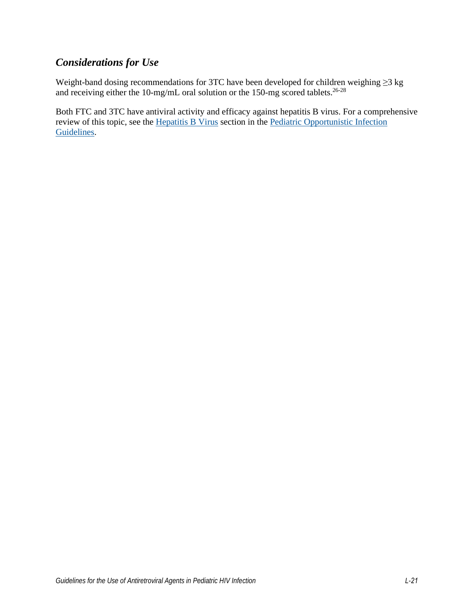# *Considerations for Use*

Weight-band dosing recommendations for 3TC have been developed for children weighing ≥3 kg and receiving either the 10-mg/mL oral solution or the 150-mg scored tablets.<sup>26-28</sup>

Both FTC and 3TC have antiviral activity and efficacy against hepatitis B virus. For a comprehensive review of this topic, see the [Hepatitis B Virus](https://clinicalinfo.hiv.gov/en/guidelines/pediatric-opportunistic-infection/hepatitis-b-virus?view=full) section in the [Pediatric Opportunistic Infection](https://clinicalinfo.hiv.gov/en/guidelines/pediatric-opportunistic-infection/whats-new)  [Guidelines.](https://clinicalinfo.hiv.gov/en/guidelines/pediatric-opportunistic-infection/whats-new)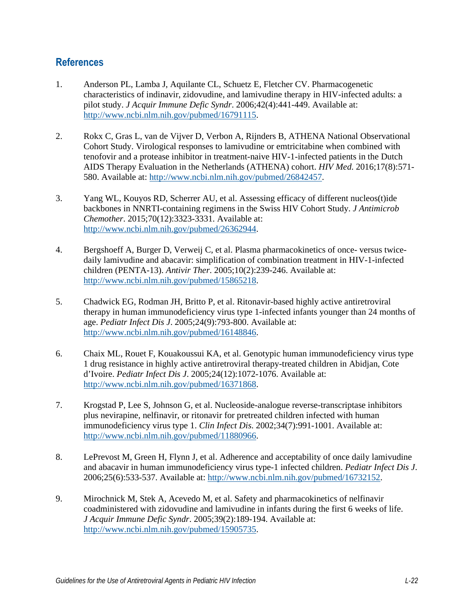### **References**

- <span id="page-8-0"></span>1. Anderson PL, Lamba J, Aquilante CL, Schuetz E, Fletcher CV. Pharmacogenetic characteristics of indinavir, zidovudine, and lamivudine therapy in HIV-infected adults: a pilot study. *J Acquir Immune Defic Syndr*. 2006;42(4):441-449. Available at: [http://www.ncbi.nlm.nih.gov/pubmed/16791115.](http://www.ncbi.nlm.nih.gov/pubmed/16791115)
- <span id="page-8-1"></span>2. Rokx C, Gras L, van de Vijver D, Verbon A, Rijnders B, ATHENA National Observational Cohort Study. Virological responses to lamivudine or emtricitabine when combined with tenofovir and a protease inhibitor in treatment-naive HIV-1-infected patients in the Dutch AIDS Therapy Evaluation in the Netherlands (ATHENA) cohort. *HIV Med*. 2016;17(8):571- 580. Available at: [http://www.ncbi.nlm.nih.gov/pubmed/26842457.](http://www.ncbi.nlm.nih.gov/pubmed/26842457)
- <span id="page-8-2"></span>3. Yang WL, Kouyos RD, Scherrer AU, et al. Assessing efficacy of different nucleos(t)ide backbones in NNRTI-containing regimens in the Swiss HIV Cohort Study. *J Antimicrob Chemother*. 2015;70(12):3323-3331. Available at: [http://www.ncbi.nlm.nih.gov/pubmed/26362944.](http://www.ncbi.nlm.nih.gov/pubmed/26362944)
- <span id="page-8-3"></span>4. Bergshoeff A, Burger D, Verweij C, et al. Plasma pharmacokinetics of once- versus twicedaily lamivudine and abacavir: simplification of combination treatment in HIV-1-infected children (PENTA-13). *Antivir Ther*. 2005;10(2):239-246. Available at: [http://www.ncbi.nlm.nih.gov/pubmed/15865218.](http://www.ncbi.nlm.nih.gov/pubmed/15865218)
- 5. Chadwick EG, Rodman JH, Britto P, et al. Ritonavir-based highly active antiretroviral therapy in human immunodeficiency virus type 1-infected infants younger than 24 months of age. *Pediatr Infect Dis J*. 2005;24(9):793-800. Available at: [http://www.ncbi.nlm.nih.gov/pubmed/16148846.](http://www.ncbi.nlm.nih.gov/pubmed/16148846)
- 6. Chaix ML, Rouet F, Kouakoussui KA, et al. Genotypic human immunodeficiency virus type 1 drug resistance in highly active antiretroviral therapy-treated children in Abidjan, Cote d'Ivoire. *Pediatr Infect Dis J*. 2005;24(12):1072-1076. Available at: [http://www.ncbi.nlm.nih.gov/pubmed/16371868.](http://www.ncbi.nlm.nih.gov/pubmed/16371868)
- 7. Krogstad P, Lee S, Johnson G, et al. Nucleoside-analogue reverse-transcriptase inhibitors plus nevirapine, nelfinavir, or ritonavir for pretreated children infected with human immunodeficiency virus type 1. *Clin Infect Dis*. 2002;34(7):991-1001. Available at: [http://www.ncbi.nlm.nih.gov/pubmed/11880966.](http://www.ncbi.nlm.nih.gov/pubmed/11880966)
- 8. LePrevost M, Green H, Flynn J, et al. Adherence and acceptability of once daily lamivudine and abacavir in human immunodeficiency virus type-1 infected children. *Pediatr Infect Dis J*. 2006;25(6):533-537. Available at: [http://www.ncbi.nlm.nih.gov/pubmed/16732152.](http://www.ncbi.nlm.nih.gov/pubmed/16732152)
- <span id="page-8-4"></span>9. Mirochnick M, Stek A, Acevedo M, et al. Safety and pharmacokinetics of nelfinavir coadministered with zidovudine and lamivudine in infants during the first 6 weeks of life. *J Acquir Immune Defic Syndr*. 2005;39(2):189-194. Available at: [http://www.ncbi.nlm.nih.gov/pubmed/15905735.](http://www.ncbi.nlm.nih.gov/pubmed/15905735)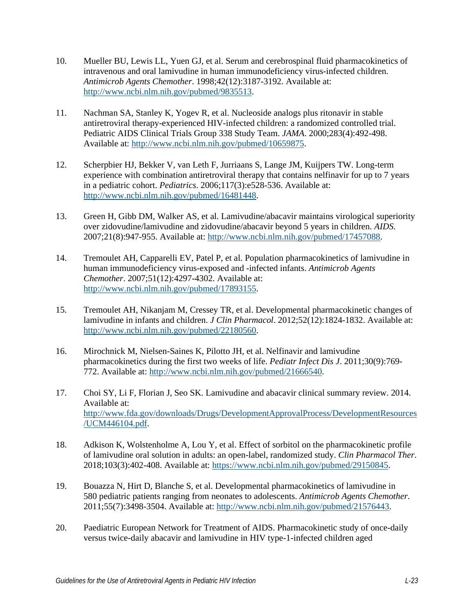- 10. Mueller BU, Lewis LL, Yuen GJ, et al. Serum and cerebrospinal fluid pharmacokinetics of intravenous and oral lamivudine in human immunodeficiency virus-infected children. *Antimicrob Agents Chemother*. 1998;42(12):3187-3192. Available at: [http://www.ncbi.nlm.nih.gov/pubmed/9835513.](http://www.ncbi.nlm.nih.gov/pubmed/9835513)
- 11. Nachman SA, Stanley K, Yogev R, et al. Nucleoside analogs plus ritonavir in stable antiretroviral therapy-experienced HIV-infected children: a randomized controlled trial. Pediatric AIDS Clinical Trials Group 338 Study Team. *JAMA*. 2000;283(4):492-498. Available at: [http://www.ncbi.nlm.nih.gov/pubmed/10659875.](http://www.ncbi.nlm.nih.gov/pubmed/10659875)
- 12. Scherpbier HJ, Bekker V, van Leth F, Jurriaans S, Lange JM, Kuijpers TW. Long-term experience with combination antiretroviral therapy that contains nelfinavir for up to 7 years in a pediatric cohort. *Pediatrics*. 2006;117(3):e528-536. Available at: [http://www.ncbi.nlm.nih.gov/pubmed/16481448.](http://www.ncbi.nlm.nih.gov/pubmed/16481448)
- <span id="page-9-0"></span>13. Green H, Gibb DM, Walker AS, et al. Lamivudine/abacavir maintains virological superiority over zidovudine/lamivudine and zidovudine/abacavir beyond 5 years in children. *AIDS*. 2007;21(8):947-955. Available at: [http://www.ncbi.nlm.nih.gov/pubmed/17457088.](http://www.ncbi.nlm.nih.gov/pubmed/17457088)
- <span id="page-9-1"></span>14. Tremoulet AH, Capparelli EV, Patel P, et al. Population pharmacokinetics of lamivudine in human immunodeficiency virus-exposed and -infected infants. *Antimicrob Agents Chemother*. 2007;51(12):4297-4302. Available at: [http://www.ncbi.nlm.nih.gov/pubmed/17893155.](http://www.ncbi.nlm.nih.gov/pubmed/17893155)
- <span id="page-9-2"></span>15. Tremoulet AH, Nikanjam M, Cressey TR, et al. Developmental pharmacokinetic changes of lamivudine in infants and children. *J Clin Pharmacol*. 2012;52(12):1824-1832. Available at: [http://www.ncbi.nlm.nih.gov/pubmed/22180560.](http://www.ncbi.nlm.nih.gov/pubmed/22180560)
- <span id="page-9-3"></span>16. Mirochnick M, Nielsen-Saines K, Pilotto JH, et al. Nelfinavir and lamivudine pharmacokinetics during the first two weeks of life. *Pediatr Infect Dis J*. 2011;30(9):769- 772. Available at: [http://www.ncbi.nlm.nih.gov/pubmed/21666540.](http://www.ncbi.nlm.nih.gov/pubmed/21666540)
- <span id="page-9-4"></span>17. Choi SY, Li F, Florian J, Seo SK. Lamivudine and abacavir clinical summary review. 2014. Available at: [http://www.fda.gov/downloads/Drugs/DevelopmentApprovalProcess/DevelopmentResources](http://www.fda.gov/downloads/Drugs/DevelopmentApprovalProcess/DevelopmentResources/UCM446104.pdf) [/UCM446104.pdf.](http://www.fda.gov/downloads/Drugs/DevelopmentApprovalProcess/DevelopmentResources/UCM446104.pdf)
- <span id="page-9-5"></span>18. Adkison K, Wolstenholme A, Lou Y, et al. Effect of sorbitol on the pharmacokinetic profile of lamivudine oral solution in adults: an open-label, randomized study. *Clin Pharmacol Ther*. 2018;103(3):402-408. Available at: [https://www.ncbi.nlm.nih.gov/pubmed/29150845.](https://www.ncbi.nlm.nih.gov/pubmed/29150845)
- <span id="page-9-6"></span>19. Bouazza N, Hirt D, Blanche S, et al. Developmental pharmacokinetics of lamivudine in 580 pediatric patients ranging from neonates to adolescents. *Antimicrob Agents Chemother*. 2011;55(7):3498-3504. Available at: [http://www.ncbi.nlm.nih.gov/pubmed/21576443.](http://www.ncbi.nlm.nih.gov/pubmed/21576443)
- <span id="page-9-7"></span>20. Paediatric European Network for Treatment of AIDS. Pharmacokinetic study of once-daily versus twice-daily abacavir and lamivudine in HIV type-1-infected children aged